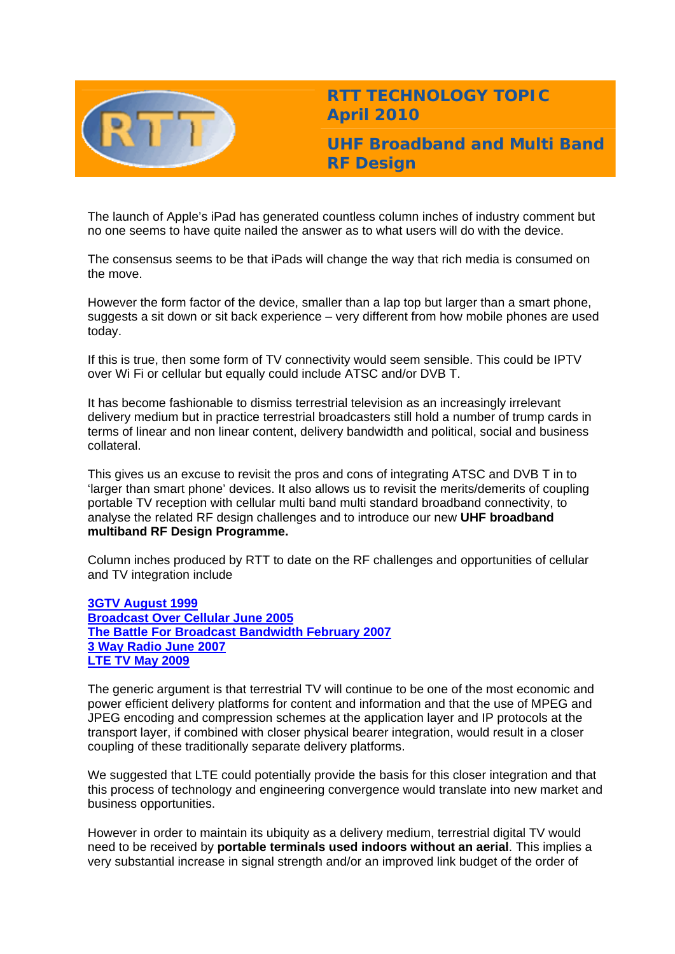

**RTT TECHNOLOGY TOPIC April 2010** 

**UHF Broadband and Multi Band RF Design** 

The launch of Apple's iPad has generated countless column inches of industry comment but no one seems to have quite nailed the answer as to what users will do with the device.

The consensus seems to be that iPads will change the way that rich media is consumed on the move.

However the form factor of the device, smaller than a lap top but larger than a smart phone, suggests a sit down or sit back experience – very different from how mobile phones are used today.

If this is true, then some form of TV connectivity would seem sensible. This could be IPTV over Wi Fi or cellular but equally could include ATSC and/or DVB T.

It has become fashionable to dismiss terrestrial television as an increasingly irrelevant delivery medium but in practice terrestrial broadcasters still hold a number of trump cards in terms of linear and non linear content, delivery bandwidth and political, social and business collateral.

This gives us an excuse to revisit the pros and cons of integrating ATSC and DVB T in to 'larger than smart phone' devices. It also allows us to revisit the merits/demerits of coupling portable TV reception with cellular multi band multi standard broadband connectivity, to analyse the related RF design challenges and to introduce our new **UHF broadband multiband RF Design Programme.**

Column inches produced by RTT to date on the RF challenges and opportunities of cellular and TV integration include

**[3GTV August 1999](http://www.rttonline.com/tt/TT1999_008.pdf) [Broadcast Over Cellular June 2005](http://www.rttonline.com/tt/TT2005_006.pdf) [The Battle For Broadcast Bandwidth February 2007](http://www.rttonline.com/tt/TT2007_002.pdf) [3 Way Radio June 2007](http://www.rttonline.com/tt/TT2007_006.pdf) [LTE TV May 2009](http://www.rttonline.com/tt/TT2009_005.pdf)**

The generic argument is that terrestrial TV will continue to be one of the most economic and power efficient delivery platforms for content and information and that the use of MPEG and JPEG encoding and compression schemes at the application layer and IP protocols at the transport layer, if combined with closer physical bearer integration, would result in a closer coupling of these traditionally separate delivery platforms.

We suggested that LTE could potentially provide the basis for this closer integration and that this process of technology and engineering convergence would translate into new market and business opportunities.

However in order to maintain its ubiquity as a delivery medium, terrestrial digital TV would need to be received by **portable terminals used indoors without an aerial**. This implies a very substantial increase in signal strength and/or an improved link budget of the order of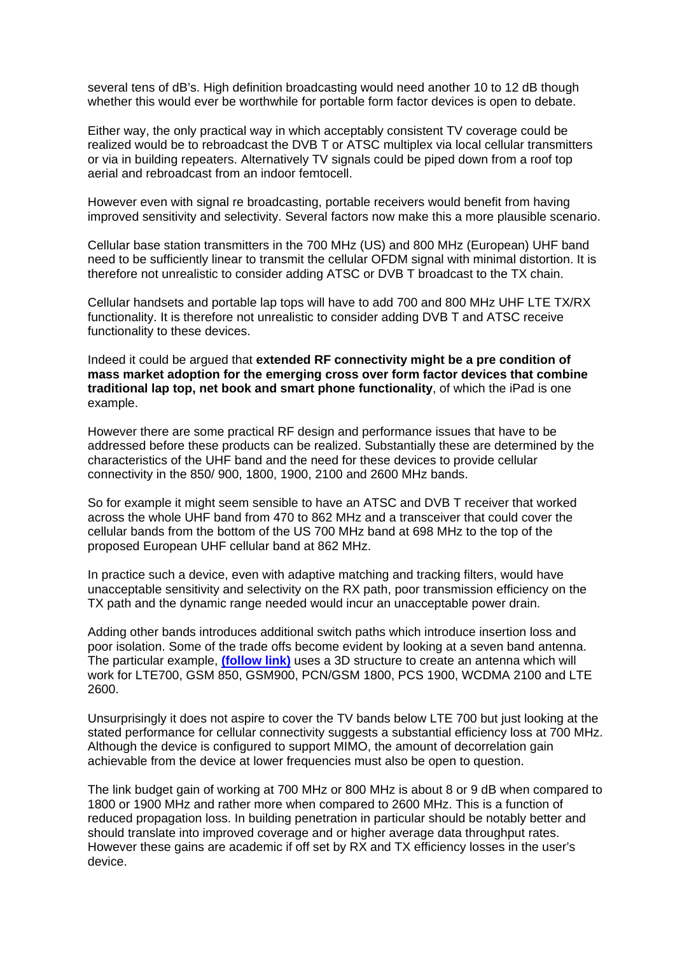several tens of dB's. High definition broadcasting would need another 10 to 12 dB though whether this would ever be worthwhile for portable form factor devices is open to debate.

Either way, the only practical way in which acceptably consistent TV coverage could be realized would be to rebroadcast the DVB T or ATSC multiplex via local cellular transmitters or via in building repeaters. Alternatively TV signals could be piped down from a roof top aerial and rebroadcast from an indoor femtocell.

However even with signal re broadcasting, portable receivers would benefit from having improved sensitivity and selectivity. Several factors now make this a more plausible scenario.

Cellular base station transmitters in the 700 MHz (US) and 800 MHz (European) UHF band need to be sufficiently linear to transmit the cellular OFDM signal with minimal distortion. It is therefore not unrealistic to consider adding ATSC or DVB T broadcast to the TX chain.

Cellular handsets and portable lap tops will have to add 700 and 800 MHz UHF LTE TX/RX functionality. It is therefore not unrealistic to consider adding DVB T and ATSC receive functionality to these devices.

Indeed it could be argued that **extended RF connectivity might be a pre condition of mass market adoption for the emerging cross over form factor devices that combine traditional lap top, net book and smart phone functionality**, of which the iPad is one example.

However there are some practical RF design and performance issues that have to be addressed before these products can be realized. Substantially these are determined by the characteristics of the UHF band and the need for these devices to provide cellular connectivity in the 850/ 900, 1800, 1900, 2100 and 2600 MHz bands.

So for example it might seem sensible to have an ATSC and DVB T receiver that worked across the whole UHF band from 470 to 862 MHz and a transceiver that could cover the cellular bands from the bottom of the US 700 MHz band at 698 MHz to the top of the proposed European UHF cellular band at 862 MHz.

In practice such a device, even with adaptive matching and tracking filters, would have unacceptable sensitivity and selectivity on the RX path, poor transmission efficiency on the TX path and the dynamic range needed would incur an unacceptable power drain.

Adding other bands introduces additional switch paths which introduce insertion loss and poor isolation. Some of the trade offs become evident by looking at a seven band antenna. The particular example, **[\(follow link\)](http://www.pulseeng.com/index.php?id=619&news_id=258)** uses a 3D structure to create an antenna which will work for LTE700, GSM 850, GSM900, PCN/GSM 1800, PCS 1900, WCDMA 2100 and LTE 2600.

Unsurprisingly it does not aspire to cover the TV bands below LTE 700 but just looking at the stated performance for cellular connectivity suggests a substantial efficiency loss at 700 MHz. Although the device is configured to support MIMO, the amount of decorrelation gain achievable from the device at lower frequencies must also be open to question.

The link budget gain of working at 700 MHz or 800 MHz is about 8 or 9 dB when compared to 1800 or 1900 MHz and rather more when compared to 2600 MHz. This is a function of reduced propagation loss. In building penetration in particular should be notably better and should translate into improved coverage and or higher average data throughput rates. However these gains are academic if off set by RX and TX efficiency losses in the user's device.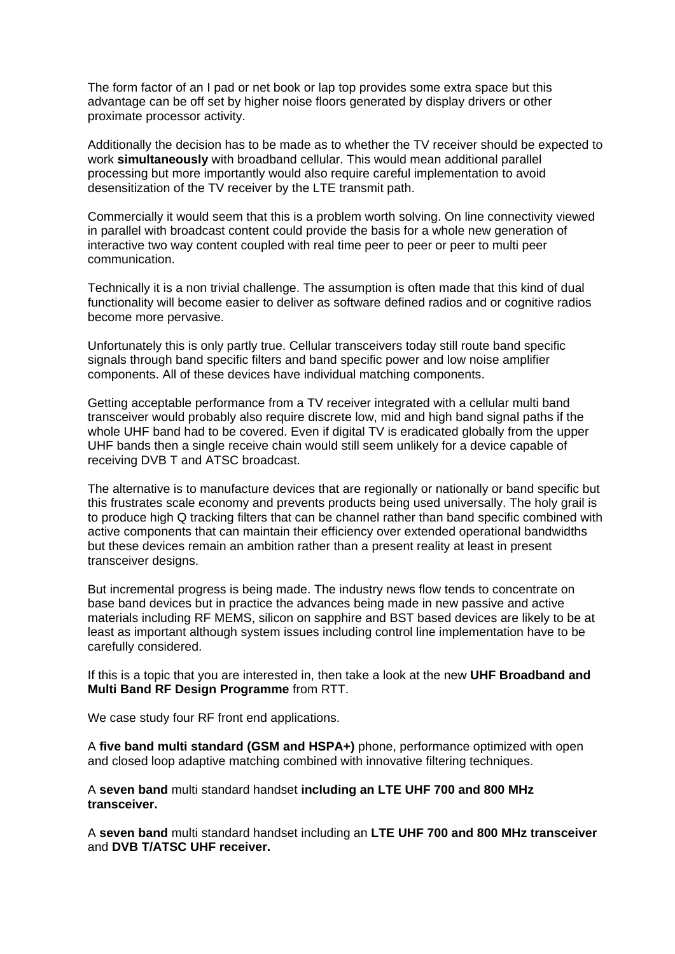The form factor of an I pad or net book or lap top provides some extra space but this advantage can be off set by higher noise floors generated by display drivers or other proximate processor activity.

Additionally the decision has to be made as to whether the TV receiver should be expected to work **simultaneously** with broadband cellular. This would mean additional parallel processing but more importantly would also require careful implementation to avoid desensitization of the TV receiver by the LTE transmit path.

Commercially it would seem that this is a problem worth solving. On line connectivity viewed in parallel with broadcast content could provide the basis for a whole new generation of interactive two way content coupled with real time peer to peer or peer to multi peer communication.

Technically it is a non trivial challenge. The assumption is often made that this kind of dual functionality will become easier to deliver as software defined radios and or cognitive radios become more pervasive.

Unfortunately this is only partly true. Cellular transceivers today still route band specific signals through band specific filters and band specific power and low noise amplifier components. All of these devices have individual matching components.

Getting acceptable performance from a TV receiver integrated with a cellular multi band transceiver would probably also require discrete low, mid and high band signal paths if the whole UHF band had to be covered. Even if digital TV is eradicated globally from the upper UHF bands then a single receive chain would still seem unlikely for a device capable of receiving DVB T and ATSC broadcast.

The alternative is to manufacture devices that are regionally or nationally or band specific but this frustrates scale economy and prevents products being used universally. The holy grail is to produce high Q tracking filters that can be channel rather than band specific combined with active components that can maintain their efficiency over extended operational bandwidths but these devices remain an ambition rather than a present reality at least in present transceiver designs.

But incremental progress is being made. The industry news flow tends to concentrate on base band devices but in practice the advances being made in new passive and active materials including RF MEMS, silicon on sapphire and BST based devices are likely to be at least as important although system issues including control line implementation have to be carefully considered.

If this is a topic that you are interested in, then take a look at the new **UHF Broadband and Multi Band RF Design Programme** from RTT.

We case study four RF front end applications.

A **five band multi standard (GSM and HSPA+)** phone, performance optimized with open and closed loop adaptive matching combined with innovative filtering techniques.

A **seven band** multi standard handset **including an LTE UHF 700 and 800 MHz transceiver.** 

A **seven band** multi standard handset including an **LTE UHF 700 and 800 MHz transceiver** and **DVB T/ATSC UHF receiver.**